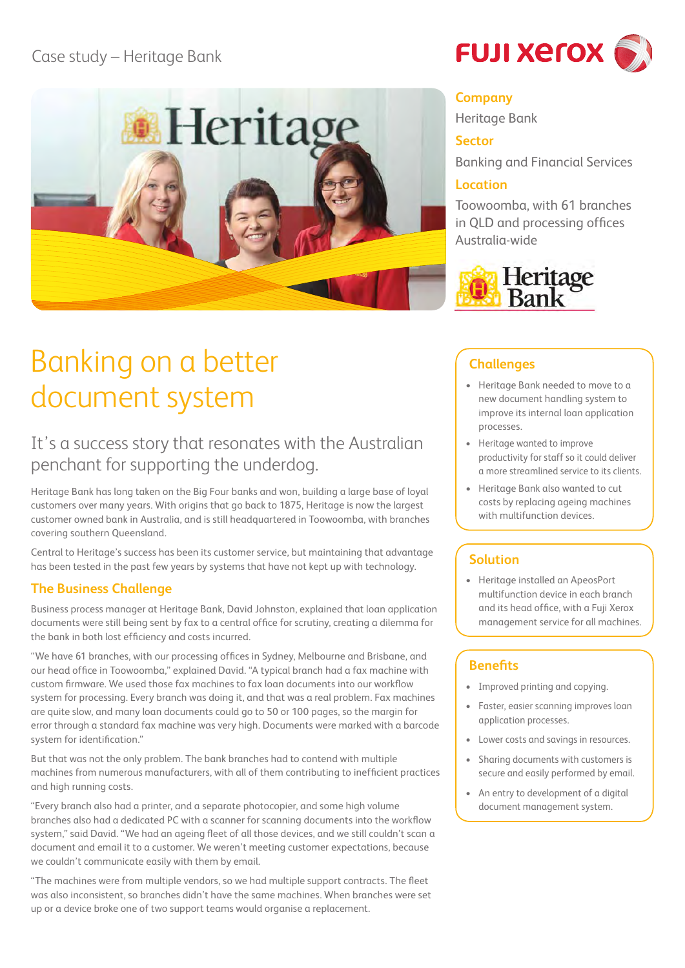## Case study – Heritage Bank



# Banking on a better document system

## It's a success story that resonates with the Australian penchant for supporting the underdog.

Heritage Bank has long taken on the Big Four banks and won, building a large base of loyal customers over many years. With origins that go back to 1875, Heritage is now the largest customer owned bank in Australia, and is still headquartered in Toowoomba, with branches covering southern Queensland.

Central to Heritage's success has been its customer service, but maintaining that advantage has been tested in the past few years by systems that have not kept up with technology.

#### **The Business Challenge**

Business process manager at Heritage Bank, David Johnston, explained that loan application documents were still being sent by fax to a central office for scrutiny, creating a dilemma for the bank in both lost efficiency and costs incurred.

"We have 61 branches, with our processing offices in Sydney, Melbourne and Brisbane, and our head office in Toowoomba," explained David. "A typical branch had a fax machine with custom firmware. We used those fax machines to fax loan documents into our workflow system for processing. Every branch was doing it, and that was a real problem. Fax machines are quite slow, and many loan documents could go to 50 or 100 pages, so the margin for error through a standard fax machine was very high. Documents were marked with a barcode system for identification."

But that was not the only problem. The bank branches had to contend with multiple machines from numerous manufacturers, with all of them contributing to inefficient practices and high running costs.

"Every branch also had a printer, and a separate photocopier, and some high volume branches also had a dedicated PC with a scanner for scanning documents into the workflow system," said David. "We had an ageing fleet of all those devices, and we still couldn't scan a document and email it to a customer. We weren't meeting customer expectations, because we couldn't communicate easily with them by email.

"The machines were from multiple vendors, so we had multiple support contracts. The fleet was also inconsistent, so branches didn't have the same machines. When branches were set up or a device broke one of two support teams would organise a replacement.



#### **Company**

Heritage Bank

#### **Sector**

Banking and Financial Services

#### **Location**

Toowoomba, with 61 branches in QLD and processing offices Australia-wide



#### **Challenges**

- • Heritage Bank needed to move to a new document handling system to improve its internal loan application processes.
- • Heritage wanted to improve productivity for staff so it could deliver a more streamlined service to its clients.
- • Heritage Bank also wanted to cut costs by replacing ageing machines with multifunction devices.

### **Solution**

• Heritage installed an ApeosPort multifunction device in each branch and its head office, with a Fuji Xerox management service for all machines.

#### **Benefits**

- Improved printing and copying.
- • Faster, easier scanning improves loan application processes.
- • Lower costs and savings in resources.
- Sharing documents with customers is secure and easily performed by email.
- An entry to development of a digital document management system.